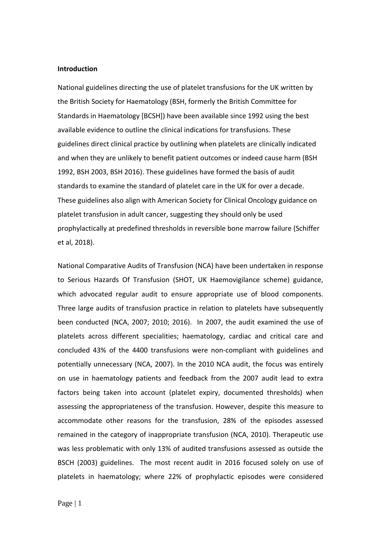### **Introduction**

National guidelines directing the use of platelet transfusions for the UK written by the British Society for Haematology (BSH, formerly the British Committee for Standards in Haematology [BCSH]) have been available since 1992 using the best available evidence to outline the clinical indications for transfusions. These guidelines direct clinical practice by outlining when platelets are clinically indicated and when they are unlikely to benefit patient outcomes or indeed cause harm (BSH 1992, BSH 2003, BSH 2016). These guidelines have formed the basis of audit standards to examine the standard of platelet care in the UK for over a decade. These guidelines also align with American Society for Clinical Oncology guidance on platelet transfusion in adult cancer, suggesting they should only be used prophylactically at predefined thresholds in reversible bone marrow failure (Schiffer et al, 2018).

National Comparative Audits of Transfusion (NCA) have been undertaken in response to Serious Hazards Of Transfusion (SHOT, UK Haemovigilance scheme) guidance, which advocated regular audit to ensure appropriate use of blood components. Three large audits of transfusion practice in relation to platelets have subsequently been conducted (NCA, 2007; 2010; 2016). In 2007, the audit examined the use of platelets across different specialities; haematology, cardiac and critical care and concluded 43% of the 4400 transfusions were non-compliant with guidelines and potentially unnecessary (NCA, 2007). In the 2010 NCA audit, the focus was entirely on use in haematology patients and feedback from the 2007 audit lead to extra factors being taken into account (platelet expiry, documented thresholds) when assessing the appropriateness of the transfusion. However, despite this measure to accommodate other reasons for the transfusion, 28% of the episodes assessed remained in the category of inappropriate transfusion (NCA, 2010). Therapeutic use was less problematic with only 13% of audited transfusions assessed as outside the BSCH (2003) guidelines. The most recent audit in 2016 focused solely on use of platelets in haematology; where 22% of prophylactic episodes were considered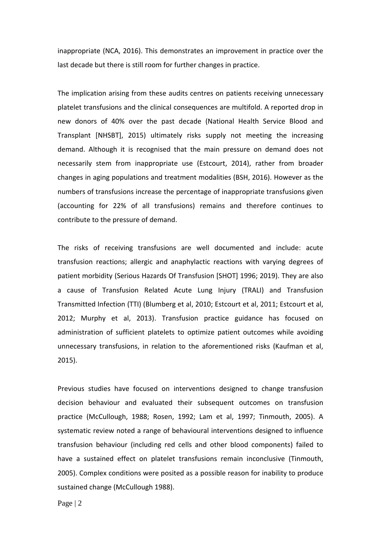inappropriate (NCA, 2016). This demonstrates an improvement in practice over the last decade but there is still room for further changes in practice.

The implication arising from these audits centres on patients receiving unnecessary platelet transfusions and the clinical consequences are multifold. A reported drop in new donors of 40% over the past decade (National Health Service Blood and Transplant [NHSBT], 2015) ultimately risks supply not meeting the increasing demand. Although it is recognised that the main pressure on demand does not necessarily stem from inappropriate use (Estcourt, 2014), rather from broader changes in aging populations and treatment modalities (BSH, 2016). However as the numbers of transfusions increase the percentage of inappropriate transfusions given (accounting for 22% of all transfusions) remains and therefore continues to contribute to the pressure of demand.

The risks of receiving transfusions are well documented and include: acute transfusion reactions; allergic and anaphylactic reactions with varying degrees of patient morbidity (Serious Hazards Of Transfusion [SHOT] 1996; 2019). They are also a cause of Transfusion Related Acute Lung Injury (TRALI) and Transfusion Transmitted Infection (TTI) (Blumberg et al, 2010; Estcourt et al, 2011; Estcourt et al, 2012; Murphy et al, 2013). Transfusion practice guidance has focused on administration of sufficient platelets to optimize patient outcomes while avoiding unnecessary transfusions, in relation to the aforementioned risks (Kaufman et al, 2015).

Previous studies have focused on interventions designed to change transfusion decision behaviour and evaluated their subsequent outcomes on transfusion practice (McCullough, 1988; Rosen, 1992; Lam et al, 1997; Tinmouth, 2005). A systematic review noted a range of behavioural interventions designed to influence transfusion behaviour (including red cells and other blood components) failed to have a sustained effect on platelet transfusions remain inconclusive (Tinmouth, 2005). Complex conditions were posited as a possible reason for inability to produce sustained change (McCullough 1988).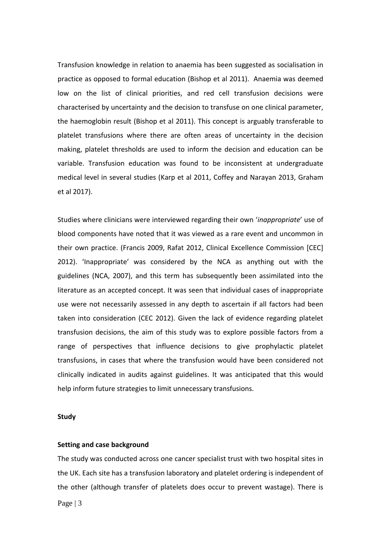Transfusion knowledge in relation to anaemia has been suggested as socialisation in practice as opposed to formal education (Bishop et al 2011). Anaemia was deemed low on the list of clinical priorities, and red cell transfusion decisions were characterised by uncertainty and the decision to transfuse on one clinical parameter, the haemoglobin result (Bishop et al 2011). This concept is arguably transferable to platelet transfusions where there are often areas of uncertainty in the decision making, platelet thresholds are used to inform the decision and education can be variable. Transfusion education was found to be inconsistent at undergraduate medical level in several studies (Karp et al 2011, Coffey and Narayan 2013, Graham et al 2017).

Studies where clinicians were interviewed regarding their own '*inappropriate*' use of blood components have noted that it was viewed as a rare event and uncommon in their own practice. (Francis 2009, Rafat 2012, Clinical Excellence Commission [CEC] 2012). 'Inappropriate' was considered by the NCA as anything out with the guidelines (NCA, 2007), and this term has subsequently been assimilated into the literature as an accepted concept. It was seen that individual cases of inappropriate use were not necessarily assessed in any depth to ascertain if all factors had been taken into consideration (CEC 2012). Given the lack of evidence regarding platelet transfusion decisions, the aim of this study was to explore possible factors from a range of perspectives that influence decisions to give prophylactic platelet transfusions, in cases that where the transfusion would have been considered not clinically indicated in audits against guidelines. It was anticipated that this would help inform future strategies to limit unnecessary transfusions.

### **Study**

### **Setting and case background**

The study was conducted across one cancer specialist trust with two hospital sites in the UK. Each site has a transfusion laboratory and platelet ordering is independent of the other (although transfer of platelets does occur to prevent wastage). There is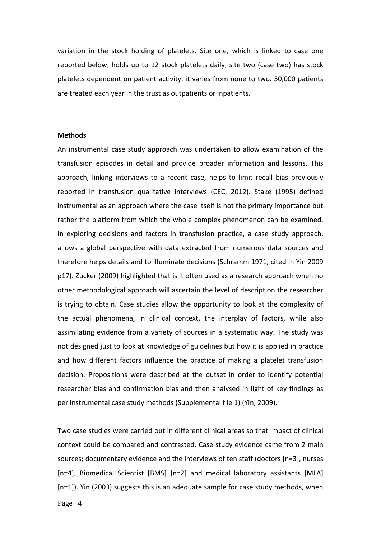variation in the stock holding of platelets. Site one, which is linked to case one reported below, holds up to 12 stock platelets daily, site two (case two) has stock platelets dependent on patient activity, it varies from none to two. 50,000 patients are treated each year in the trust as outpatients or inpatients.

### **Methods**

An instrumental case study approach was undertaken to allow examination of the transfusion episodes in detail and provide broader information and lessons. This approach, linking interviews to a recent case, helps to limit recall bias previously reported in transfusion qualitative interviews (CEC, 2012). Stake (1995) defined instrumental as an approach where the case itself is not the primary importance but rather the platform from which the whole complex phenomenon can be examined. In exploring decisions and factors in transfusion practice, a case study approach, allows a global perspective with data extracted from numerous data sources and therefore helps details and to illuminate decisions (Schramm 1971, cited in Yin 2009 p17). Zucker (2009) highlighted that is it often used as a research approach when no other methodological approach will ascertain the level of description the researcher is trying to obtain. Case studies allow the opportunity to look at the complexity of the actual phenomena, in clinical context, the interplay of factors, while also assimilating evidence from a variety of sources in a systematic way. The study was not designed just to look at knowledge of guidelines but how it is applied in practice and how different factors influence the practice of making a platelet transfusion decision. Propositions were described at the outset in order to identify potential researcher bias and confirmation bias and then analysed in light of key findings as per instrumental case study methods (Supplemental file 1) (Yin, 2009).

Two case studies were carried out in different clinical areas so that impact of clinical context could be compared and contrasted. Case study evidence came from 2 main sources; documentary evidence and the interviews of ten staff (doctors [n=3], nurses [n=4], Biomedical Scientist [BMS] [n=2] and medical laboratory assistants [MLA] [n=1]). Yin (2003) suggests this is an adequate sample for case study methods, when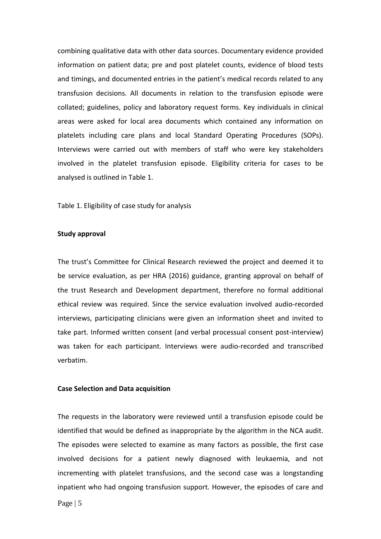combining qualitative data with other data sources. Documentary evidence provided information on patient data; pre and post platelet counts, evidence of blood tests and timings, and documented entries in the patient's medical records related to any transfusion decisions. All documents in relation to the transfusion episode were collated; guidelines, policy and laboratory request forms. Key individuals in clinical areas were asked for local area documents which contained any information on platelets including care plans and local Standard Operating Procedures (SOPs). Interviews were carried out with members of staff who were key stakeholders involved in the platelet transfusion episode. Eligibility criteria for cases to be analysed is outlined in Table 1.

Table 1. Eligibility of case study for analysis

#### **Study approval**

The trust's Committee for Clinical Research reviewed the project and deemed it to be service evaluation, as per HRA (2016) guidance, granting approval on behalf of the trust Research and Development department, therefore no formal additional ethical review was required. Since the service evaluation involved audio-recorded interviews, participating clinicians were given an information sheet and invited to take part. Informed written consent (and verbal processual consent post-interview) was taken for each participant. Interviews were audio-recorded and transcribed verbatim.

### **Case Selection and Data acquisition**

The requests in the laboratory were reviewed until a transfusion episode could be identified that would be defined as inappropriate by the algorithm in the NCA audit. The episodes were selected to examine as many factors as possible, the first case involved decisions for a patient newly diagnosed with leukaemia, and not incrementing with platelet transfusions, and the second case was a longstanding inpatient who had ongoing transfusion support. However, the episodes of care and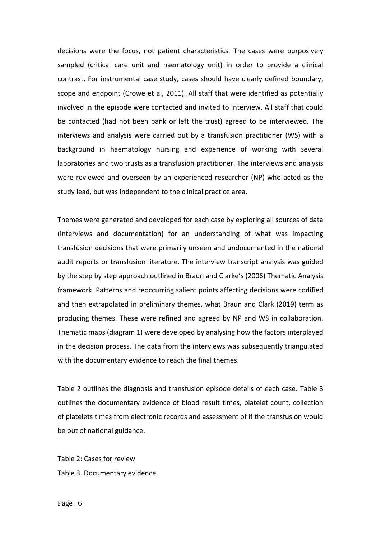decisions were the focus, not patient characteristics. The cases were purposively sampled (critical care unit and haematology unit) in order to provide a clinical contrast. For instrumental case study, cases should have clearly defined boundary, scope and endpoint (Crowe et al, 2011). All staff that were identified as potentially involved in the episode were contacted and invited to interview. All staff that could be contacted (had not been bank or left the trust) agreed to be interviewed. The interviews and analysis were carried out by a transfusion practitioner (WS) with a background in haematology nursing and experience of working with several laboratories and two trusts as a transfusion practitioner. The interviews and analysis were reviewed and overseen by an experienced researcher (NP) who acted as the study lead, but was independent to the clinical practice area.

Themes were generated and developed for each case by exploring all sources of data (interviews and documentation) for an understanding of what was impacting transfusion decisions that were primarily unseen and undocumented in the national audit reports or transfusion literature. The interview transcript analysis was guided by the step by step approach outlined in Braun and Clarke's (2006) Thematic Analysis framework. Patterns and reoccurring salient points affecting decisions were codified and then extrapolated in preliminary themes, what Braun and Clark (2019) term as producing themes. These were refined and agreed by NP and WS in collaboration. Thematic maps (diagram 1) were developed by analysing how the factors interplayed in the decision process. The data from the interviews was subsequently triangulated with the documentary evidence to reach the final themes.

Table 2 outlines the diagnosis and transfusion episode details of each case. Table 3 outlines the documentary evidence of blood result times, platelet count, collection of platelets times from electronic records and assessment of if the transfusion would be out of national guidance.

Table 2: Cases for review Table 3. Documentary evidence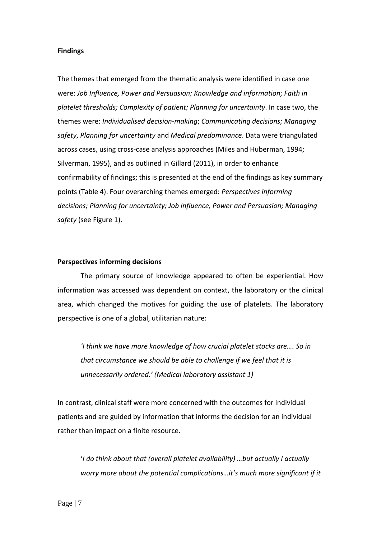### **Findings**

The themes that emerged from the thematic analysis were identified in case one were: *Job Influence, Power and Persuasion; Knowledge and information; Faith in platelet thresholds; Complexity of patient; Planning for uncertainty*. In case two, the themes were: *Individualised decision-making*; *Communicating decisions; Managing safety*, *Planning for uncertainty* and *Medical predominance*. Data were triangulated across cases, using cross-case analysis approaches (Miles and Huberman, 1994; Silverman, 1995), and as outlined in Gillard (2011), in order to enhance confirmability of findings; this is presented at the end of the findings as key summary points (Table 4). Four overarching themes emerged: *Perspectives informing decisions; Planning for uncertainty; Job influence, Power and Persuasion; Managing safety* (see Figure 1).

## **Perspectives informing decisions**

The primary source of knowledge appeared to often be experiential. How information was accessed was dependent on context, the laboratory or the clinical area, which changed the motives for guiding the use of platelets. The laboratory perspective is one of a global, utilitarian nature:

*'I think we have more knowledge of how crucial platelet stocks are…. So in that circumstance we should be able to challenge if we feel that it is unnecessarily ordered.' (Medical laboratory assistant 1)*

In contrast, clinical staff were more concerned with the outcomes for individual patients and are guided by information that informs the decision for an individual rather than impact on a finite resource.

'*I do think about that (overall platelet availability) …but actually I actually worry more about the potential complications…it's much more significant if it*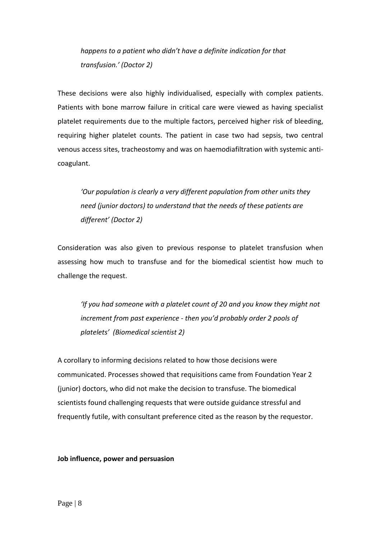*happens to a patient who didn't have a definite indication for that transfusion.' (Doctor 2)*

These decisions were also highly individualised, especially with complex patients. Patients with bone marrow failure in critical care were viewed as having specialist platelet requirements due to the multiple factors, perceived higher risk of bleeding, requiring higher platelet counts. The patient in case two had sepsis, two central venous access sites, tracheostomy and was on haemodiafiltration with systemic anticoagulant.

*'Our population is clearly a very different population from other units they need (junior doctors) to understand that the needs of these patients are different' (Doctor 2)*

Consideration was also given to previous response to platelet transfusion when assessing how much to transfuse and for the biomedical scientist how much to challenge the request.

*'If you had someone with a platelet count of 20 and you know they might not increment from past experience - then you'd probably order 2 pools of platelets' (Biomedical scientist 2)*

A corollary to informing decisions related to how those decisions were communicated. Processes showed that requisitions came from Foundation Year 2 (junior) doctors, who did not make the decision to transfuse. The biomedical scientists found challenging requests that were outside guidance stressful and frequently futile, with consultant preference cited as the reason by the requestor.

**Job influence, power and persuasion**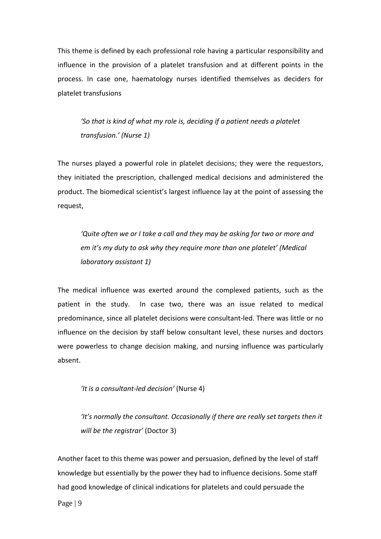This theme is defined by each professional role having a particular responsibility and influence in the provision of a platelet transfusion and at different points in the process. In case one, haematology nurses identified themselves as deciders for platelet transfusions

*'So that is kind of what my role is, deciding if a patient needs a platelet transfusion.' (Nurse 1)*

The nurses played a powerful role in platelet decisions; they were the requestors, they initiated the prescription, challenged medical decisions and administered the product. The biomedical scientist's largest influence lay at the point of assessing the request,

*'Quite often we or I take a call and they may be asking for two or more and em it's my duty to ask why they require more than one platelet' (Medical laboratory assistant 1)*

The medical influence was exerted around the complexed patients, such as the patient in the study. In case two, there was an issue related to medical predominance, since all platelet decisions were consultant-led. There was little or no influence on the decision by staff below consultant level, these nurses and doctors were powerless to change decision making, and nursing influence was particularly absent.

*'It is a consultant-led decision'* (Nurse 4)

*'It's normally the consultant. Occasionally if there are really set targets then it will be the registrar'* (Doctor 3)

Another facet to this theme was power and persuasion, defined by the level of staff knowledge but essentially by the power they had to influence decisions. Some staff had good knowledge of clinical indications for platelets and could persuade the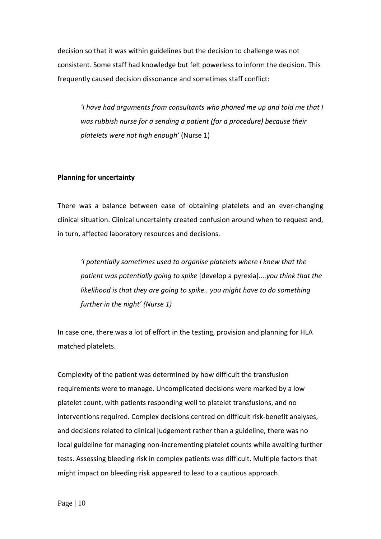decision so that it was within guidelines but the decision to challenge was not consistent. Some staff had knowledge but felt powerless to inform the decision. This frequently caused decision dissonance and sometimes staff conflict:

*'I have had arguments from consultants who phoned me up and told me that I was rubbish nurse for a sending a patient (for a procedure) because their platelets were not high enough'* (Nurse 1)

# **Planning for uncertainty**

There was a balance between ease of obtaining platelets and an ever-changing clinical situation. Clinical uncertainty created confusion around when to request and, in turn, affected laboratory resources and decisions.

*'I potentially sometimes used to organise platelets where I knew that the patient was potentially going to spike* [develop a pyrexia]*....you think that the likelihood is that they are going to spike.. you might have to do something further in the night' (Nurse 1)*

In case one, there was a lot of effort in the testing, provision and planning for HLA matched platelets.

Complexity of the patient was determined by how difficult the transfusion requirements were to manage. Uncomplicated decisions were marked by a low platelet count, with patients responding well to platelet transfusions, and no interventions required. Complex decisions centred on difficult risk-benefit analyses, and decisions related to clinical judgement rather than a guideline, there was no local guideline for managing non-incrementing platelet counts while awaiting further tests. Assessing bleeding risk in complex patients was difficult. Multiple factors that might impact on bleeding risk appeared to lead to a cautious approach.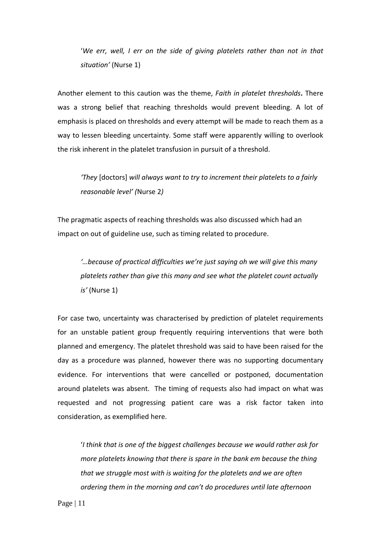'*We err, well, I err on the side of giving platelets rather than not in that situation'* (Nurse 1)

Another element to this caution was the theme, *Faith in platelet thresholds***.** There was a strong belief that reaching thresholds would prevent bleeding. A lot of emphasis is placed on thresholds and every attempt will be made to reach them as a way to lessen bleeding uncertainty. Some staff were apparently willing to overlook the risk inherent in the platelet transfusion in pursuit of a threshold.

*'They* [doctors] *will always want to try to increment their platelets to a fairly reasonable level' (*Nurse 2*)*

The pragmatic aspects of reaching thresholds was also discussed which had an impact on out of guideline use, such as timing related to procedure.

*'…because of practical difficulties we're just saying oh we will give this many platelets rather than give this many and see what the platelet count actually is'* (Nurse 1)

For case two, uncertainty was characterised by prediction of platelet requirements for an unstable patient group frequently requiring interventions that were both planned and emergency. The platelet threshold was said to have been raised for the day as a procedure was planned, however there was no supporting documentary evidence. For interventions that were cancelled or postponed, documentation around platelets was absent. The timing of requests also had impact on what was requested and not progressing patient care was a risk factor taken into consideration, as exemplified here.

'*I think that is one of the biggest challenges because we would rather ask for more platelets knowing that there is spare in the bank em because the thing that we struggle most with is waiting for the platelets and we are often ordering them in the morning and can't do procedures until late afternoon*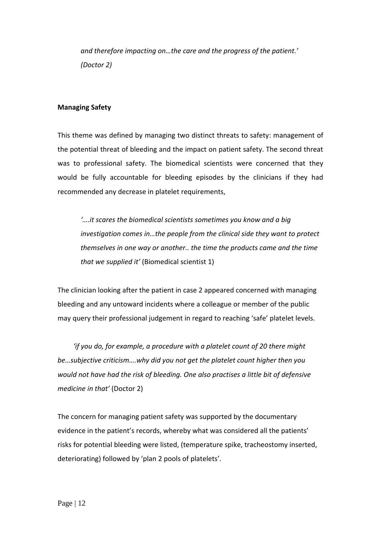*and therefore impacting on…the care and the progress of the patient.' (Doctor 2)*

# **Managing Safety**

This theme was defined by managing two distinct threats to safety: management of the potential threat of bleeding and the impact on patient safety. The second threat was to professional safety. The biomedical scientists were concerned that they would be fully accountable for bleeding episodes by the clinicians if they had recommended any decrease in platelet requirements,

*'….it scares the biomedical scientists sometimes you know and a big investigation comes in…the people from the clinical side they want to protect themselves in one way or another.. the time the products came and the time that we supplied it'* (Biomedical scientist 1)

The clinician looking after the patient in case 2 appeared concerned with managing bleeding and any untoward incidents where a colleague or member of the public may query their professional judgement in regard to reaching 'safe' platelet levels.

 *'if you do, for example, a procedure with a platelet count of 20 there might be…subjective criticism….why did you not get the platelet count higher then you would not have had the risk of bleeding. One also practises a little bit of defensive medicine in that'* (Doctor 2)

The concern for managing patient safety was supported by the documentary evidence in the patient's records, whereby what was considered all the patients' risks for potential bleeding were listed, (temperature spike, tracheostomy inserted, deteriorating) followed by 'plan 2 pools of platelets'.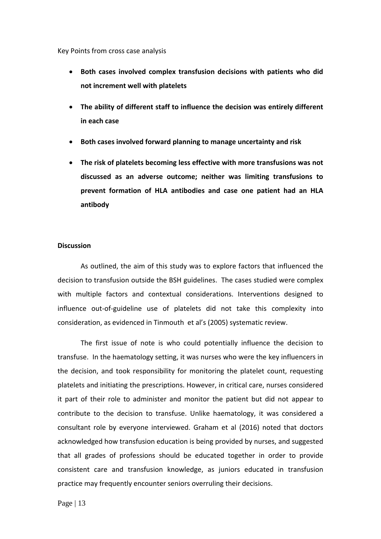Key Points from cross case analysis

- **Both cases involved complex transfusion decisions with patients who did not increment well with platelets**
- **The ability of different staff to influence the decision was entirely different in each case**
- **Both cases involved forward planning to manage uncertainty and risk**
- **The risk of platelets becoming less effective with more transfusions was not discussed as an adverse outcome; neither was limiting transfusions to prevent formation of HLA antibodies and case one patient had an HLA antibody**

# **Discussion**

As outlined, the aim of this study was to explore factors that influenced the decision to transfusion outside the BSH guidelines. The cases studied were complex with multiple factors and contextual considerations. Interventions designed to influence out-of-guideline use of platelets did not take this complexity into consideration, as evidenced in Tinmouth et al's (2005) systematic review.

The first issue of note is who could potentially influence the decision to transfuse. In the haematology setting, it was nurses who were the key influencers in the decision, and took responsibility for monitoring the platelet count, requesting platelets and initiating the prescriptions. However, in critical care, nurses considered it part of their role to administer and monitor the patient but did not appear to contribute to the decision to transfuse. Unlike haematology, it was considered a consultant role by everyone interviewed. Graham et al (2016) noted that doctors acknowledged how transfusion education is being provided by nurses, and suggested that all grades of professions should be educated together in order to provide consistent care and transfusion knowledge, as juniors educated in transfusion practice may frequently encounter seniors overruling their decisions.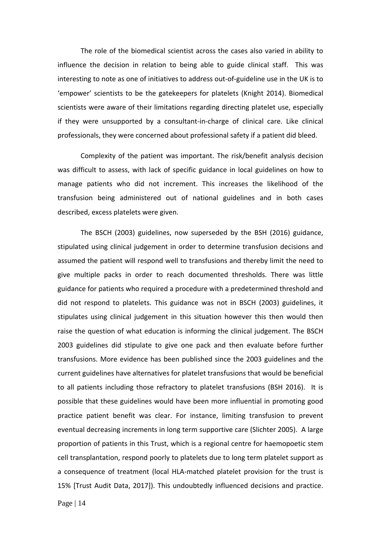The role of the biomedical scientist across the cases also varied in ability to influence the decision in relation to being able to guide clinical staff. This was interesting to note as one of initiatives to address out-of-guideline use in the UK is to 'empower' scientists to be the gatekeepers for platelets (Knight 2014). Biomedical scientists were aware of their limitations regarding directing platelet use, especially if they were unsupported by a consultant-in-charge of clinical care. Like clinical professionals, they were concerned about professional safety if a patient did bleed.

Complexity of the patient was important. The risk/benefit analysis decision was difficult to assess, with lack of specific guidance in local guidelines on how to manage patients who did not increment. This increases the likelihood of the transfusion being administered out of national guidelines and in both cases described, excess platelets were given.

The BSCH (2003) guidelines, now superseded by the BSH (2016) guidance, stipulated using clinical judgement in order to determine transfusion decisions and assumed the patient will respond well to transfusions and thereby limit the need to give multiple packs in order to reach documented thresholds. There was little guidance for patients who required a procedure with a predetermined threshold and did not respond to platelets. This guidance was not in BSCH (2003) guidelines, it stipulates using clinical judgement in this situation however this then would then raise the question of what education is informing the clinical judgement. The BSCH 2003 guidelines did stipulate to give one pack and then evaluate before further transfusions. More evidence has been published since the 2003 guidelines and the current guidelines have alternatives for platelet transfusions that would be beneficial to all patients including those refractory to platelet transfusions (BSH 2016). It is possible that these guidelines would have been more influential in promoting good practice patient benefit was clear. For instance, limiting transfusion to prevent eventual decreasing increments in long term supportive care (Slichter 2005). A large proportion of patients in this Trust, which is a regional centre for haemopoetic stem cell transplantation, respond poorly to platelets due to long term platelet support as a consequence of treatment (local HLA-matched platelet provision for the trust is 15% [Trust Audit Data, 2017]). This undoubtedly influenced decisions and practice.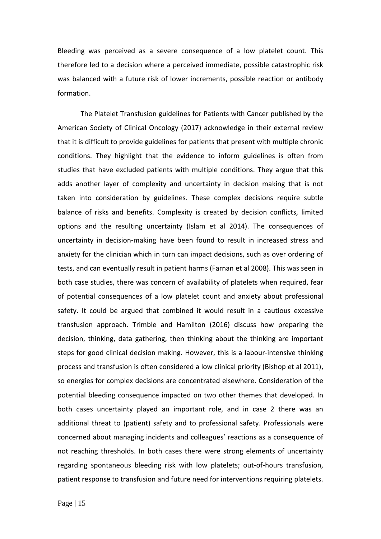Bleeding was perceived as a severe consequence of a low platelet count. This therefore led to a decision where a perceived immediate, possible catastrophic risk was balanced with a future risk of lower increments, possible reaction or antibody formation.

The Platelet Transfusion guidelines for Patients with Cancer published by the American Society of Clinical Oncology (2017) acknowledge in their external review that it is difficult to provide guidelines for patients that present with multiple chronic conditions. They highlight that the evidence to inform guidelines is often from studies that have excluded patients with multiple conditions. They argue that this adds another layer of complexity and uncertainty in decision making that is not taken into consideration by guidelines. These complex decisions require subtle balance of risks and benefits. Complexity is created by decision conflicts, limited options and the resulting uncertainty (Islam et al 2014). The consequences of uncertainty in decision-making have been found to result in increased stress and anxiety for the clinician which in turn can impact decisions, such as over ordering of tests, and can eventually result in patient harms (Farnan et al 2008). This was seen in both case studies, there was concern of availability of platelets when required, fear of potential consequences of a low platelet count and anxiety about professional safety. It could be argued that combined it would result in a cautious excessive transfusion approach. Trimble and Hamilton (2016) discuss how preparing the decision, thinking, data gathering, then thinking about the thinking are important steps for good clinical decision making. However, this is a labour-intensive thinking process and transfusion is often considered a low clinical priority (Bishop et al 2011), so energies for complex decisions are concentrated elsewhere. Consideration of the potential bleeding consequence impacted on two other themes that developed. In both cases uncertainty played an important role, and in case 2 there was an additional threat to (patient) safety and to professional safety. Professionals were concerned about managing incidents and colleagues' reactions as a consequence of not reaching thresholds. In both cases there were strong elements of uncertainty regarding spontaneous bleeding risk with low platelets; out-of-hours transfusion, patient response to transfusion and future need for interventions requiring platelets.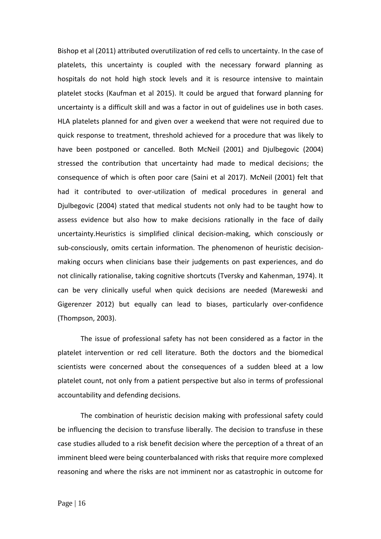Bishop et al (2011) attributed overutilization of red cells to uncertainty. In the case of platelets, this uncertainty is coupled with the necessary forward planning as hospitals do not hold high stock levels and it is resource intensive to maintain platelet stocks (Kaufman et al 2015). It could be argued that forward planning for uncertainty is a difficult skill and was a factor in out of guidelines use in both cases. HLA platelets planned for and given over a weekend that were not required due to quick response to treatment, threshold achieved for a procedure that was likely to have been postponed or cancelled. Both McNeil (2001) and Djulbegovic (2004) stressed the contribution that uncertainty had made to medical decisions; the consequence of which is often poor care (Saini et al 2017). McNeil (2001) felt that had it contributed to over-utilization of medical procedures in general and Djulbegovic (2004) stated that medical students not only had to be taught how to assess evidence but also how to make decisions rationally in the face of daily uncertainty.Heuristics is simplified clinical decision-making, which consciously or sub-consciously, omits certain information. The phenomenon of heuristic decisionmaking occurs when clinicians base their judgements on past experiences, and do not clinically rationalise, taking cognitive shortcuts (Tversky and Kahenman, 1974). It can be very clinically useful when quick decisions are needed (Mareweski and Gigerenzer 2012) but equally can lead to biases, particularly over-confidence (Thompson, 2003).

The issue of professional safety has not been considered as a factor in the platelet intervention or red cell literature. Both the doctors and the biomedical scientists were concerned about the consequences of a sudden bleed at a low platelet count, not only from a patient perspective but also in terms of professional accountability and defending decisions.

The combination of heuristic decision making with professional safety could be influencing the decision to transfuse liberally. The decision to transfuse in these case studies alluded to a risk benefit decision where the perception of a threat of an imminent bleed were being counterbalanced with risks that require more complexed reasoning and where the risks are not imminent nor as catastrophic in outcome for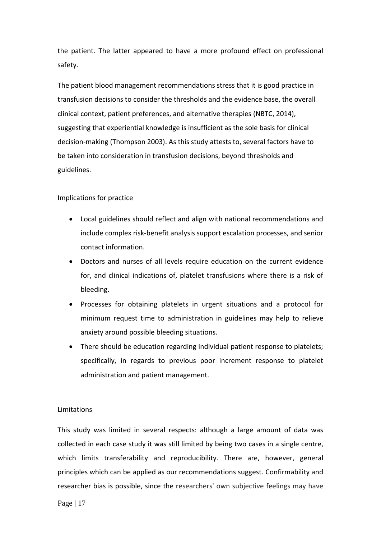the patient. The latter appeared to have a more profound effect on professional safety.

The patient blood management recommendations stress that it is good practice in transfusion decisions to consider the thresholds and the evidence base, the overall clinical context, patient preferences, and alternative therapies (NBTC, 2014), suggesting that experiential knowledge is insufficient as the sole basis for clinical decision-making (Thompson 2003). As this study attests to, several factors have to be taken into consideration in transfusion decisions, beyond thresholds and guidelines.

# Implications for practice

- Local guidelines should reflect and align with national recommendations and include complex risk-benefit analysis support escalation processes, and senior contact information.
- Doctors and nurses of all levels require education on the current evidence for, and clinical indications of, platelet transfusions where there is a risk of bleeding.
- Processes for obtaining platelets in urgent situations and a protocol for minimum request time to administration in guidelines may help to relieve anxiety around possible bleeding situations.
- There should be education regarding individual patient response to platelets; specifically, in regards to previous poor increment response to platelet administration and patient management.

### Limitations

This study was limited in several respects: although a large amount of data was collected in each case study it was still limited by being two cases in a single centre, which limits transferability and reproducibility. There are, however, general principles which can be applied as our recommendations suggest. Confirmability and researcher bias is possible, since the researchers' own subjective feelings may have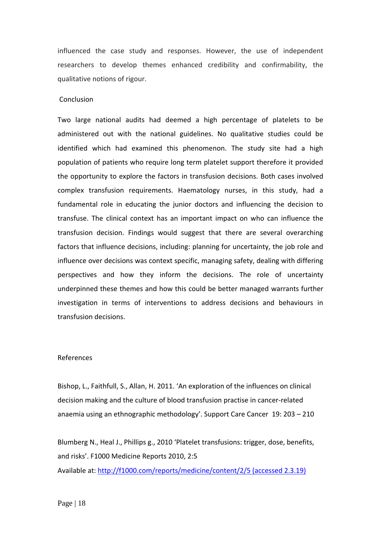influenced the case study and responses. However, the use of independent researchers to develop themes enhanced credibility and confirmability, the qualitative notions of rigour.

#### Conclusion

Two large national audits had deemed a high percentage of platelets to be administered out with the national guidelines. No qualitative studies could be identified which had examined this phenomenon. The study site had a high population of patients who require long term platelet support therefore it provided the opportunity to explore the factors in transfusion decisions. Both cases involved complex transfusion requirements. Haematology nurses, in this study, had a fundamental role in educating the junior doctors and influencing the decision to transfuse. The clinical context has an important impact on who can influence the transfusion decision. Findings would suggest that there are several overarching factors that influence decisions, including: planning for uncertainty, the job role and influence over decisions was context specific, managing safety, dealing with differing perspectives and how they inform the decisions. The role of uncertainty underpinned these themes and how this could be better managed warrants further investigation in terms of interventions to address decisions and behaviours in transfusion decisions.

### References

Bishop, L., Faithfull, S., Allan, H. 2011. 'An exploration of the influences on clinical decision making and the culture of blood transfusion practise in cancer-related anaemia using an ethnographic methodology'. Support Care Cancer 19: 203 – 210

Blumberg N., Heal J., Phillips g., 2010 'Platelet transfusions: trigger, dose, benefits, and risks'. F1000 Medicine Reports 2010, 2:5

Available at:<http://f1000.com/reports/medicine/content/2/5> (accessed 2.3.19)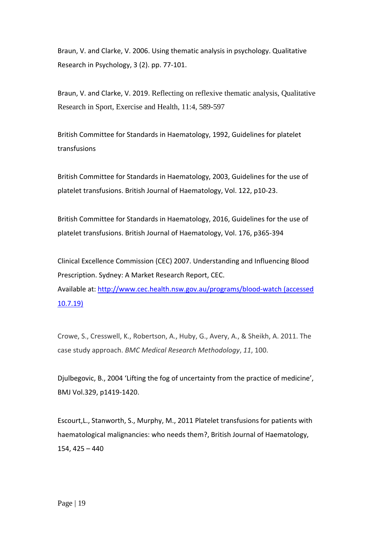Braun, V. and Clarke, V. 2006. Using thematic analysis in psychology. Qualitative Research in Psychology, 3 (2). pp. 77-101.

Braun, V. and Clarke, V. 2019. Reflecting on reflexive thematic analysis, Qualitative Research in Sport, Exercise and Health, 11:4, 589-597

British Committee for Standards in Haematology, 1992, Guidelines for platelet transfusions

British Committee for Standards in Haematology, 2003, Guidelines for the use of platelet transfusions. British Journal of Haematology, Vol. 122, p10-23.

British Committee for Standards in Haematology, 2016, Guidelines for the use of platelet transfusions. British Journal of Haematology, Vol. 176, p365-394

Clinical Excellence Commission (CEC) 2007. Understanding and Influencing Blood Prescription. Sydney: A Market Research Report, CEC.

Available at:<http://www.cec.health.nsw.gov.au/programs/blood-watch> (accessed 10.7.19)

Crowe, S., Cresswell, K., Robertson, A., Huby, G., Avery, A., & Sheikh, A. 2011. The case study approach. *BMC Medical Research Methodology*, *11*, 100.

Djulbegovic, B., 2004 'Lifting the fog of uncertainty from the practice of medicine', BMJ Vol.329, p1419-1420.

Escourt,L., Stanworth, S., Murphy, M., 2011 Platelet transfusions for patients with haematological malignancies: who needs them?, British Journal of Haematology, 154, 425 – 440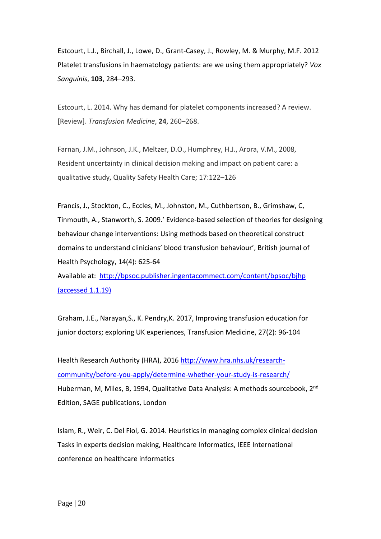Estcourt, L.J., Birchall, J., Lowe, D., Grant-Casey, J., Rowley, M. & Murphy, M.F. 2012 Platelet transfusions in haematology patients: are we using them appropriately? *Vox Sanguinis*, **103**, 284–293.

Estcourt, L. 2014. Why has demand for platelet components increased? A review. [Review]. *Transfusion Medicine*, **24**, 260–268.

Farnan, J.M., Johnson, J.K., Meltzer, D.O., Humphrey, H.J., Arora, V.M., 2008, Resident uncertainty in clinical decision making and impact on patient care: a qualitative study, Quality Safety Health Care; 17:122–126

Francis, J., Stockton, C., Eccles, M., Johnston, M., Cuthbertson, B., Grimshaw, C, Tinmouth, A., Stanworth, S. 2009.' Evidence-based selection of theories for designing behaviour change interventions: Using methods based on theoretical construct domains to understand clinicians' blood transfusion behaviour', British journal of Health Psychology, 14(4): 625-64 Available at: <http://bpsoc.publisher.ingentacommect.com/content/bpsoc/bjhp>

(accessed 1.1.19)

Graham, J.E., Narayan,S., K. Pendry,K. 2017, Improving transfusion education for junior doctors; exploring UK experiences, Transfusion Medicine, 27(2): 96-104

Health Research Authority (HRA), 2016 [http://www.hra.nhs.uk/research](http://www.hra.nhs.uk/research-community/before-you-apply/determine-whether-your-study-is-research/)[community/before-you-apply/determine-whether-your-study-is-research/](http://www.hra.nhs.uk/research-community/before-you-apply/determine-whether-your-study-is-research/) Huberman, M, Miles, B, 1994, Qualitative Data Analysis: A methods sourcebook, 2nd Edition, SAGE publications, London

Islam, R., Weir, C. Del Fiol, G. 2014. Heuristics in managing complex clinical decision Tasks in experts decision making, Healthcare Informatics, IEEE International conference on healthcare informatics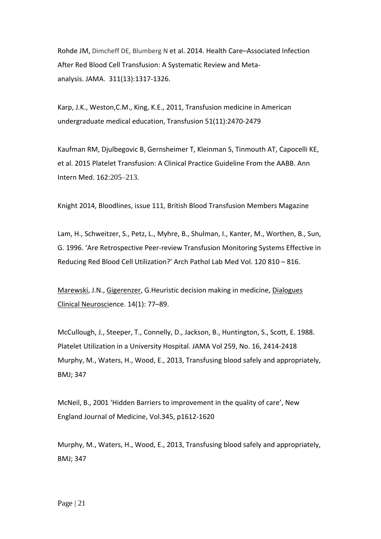Rohde JM, Dimcheff DE, Blumberg N et al. 2014. Health Care–Associated Infection After Red Blood Cell Transfusion: A Systematic Review and Metaanalysis. JAMA. [311\(13\):1317-1326.](http://www.ncbi.nlm.nih.gov/pubmed/24691607) 

Karp, J.K., Weston,C.M., King, K.E., 2011, Transfusion medicine in American undergraduate medical education, Transfusion 51(11):2470-2479

Kaufman RM, Djulbegovic B, Gernsheimer T, Kleinman S, Tinmouth AT, Capocelli KE, et al. 2015 Platelet Transfusion: A Clinical Practice Guideline From the AABB. Ann Intern Med. 162:205–213.

Knight 2014, Bloodlines, issue 111, British Blood Transfusion Members Magazine

Lam, H., Schweitzer, S., Petz, L., Myhre, B., Shulman, I., Kanter, M., Worthen, B., Sun, G. 1996. 'Are Retrospective Peer-review Transfusion Monitoring Systems Effective in Reducing Red Blood Cell Utilization?' Arch Pathol Lab Med Vol. 120 810 – 816.

[Marewski,](https://www.ncbi.nlm.nih.gov/pubmed/?term=Marewski%20JN%5BAuthor%5D&cauthor=true&cauthor_uid=22577307) J.N., [Gigerenzer,](https://www.ncbi.nlm.nih.gov/pubmed/?term=Gigerenzer%20G%5BAuthor%5D&cauthor=true&cauthor_uid=22577307) G.Heuristic decision making in medicine, [Dialogues](https://www.ncbi.nlm.nih.gov/pmc/articles/PMC3341653/)  [Clinical Neuroscie](https://www.ncbi.nlm.nih.gov/pmc/articles/PMC3341653/)nce. 14(1): 77–89.

McCullough, J., Steeper, T., Connelly, D., Jackson, B., Huntington, S., Scott, E. 1988. Platelet Utilization in a University Hospital. JAMA Vol 259, No. 16, 2414-2418 Murphy, M., Waters, H., Wood, E., 2013, Transfusing blood safely and appropriately, BMJ; 347

McNeil, B., 2001 'Hidden Barriers to improvement in the quality of care', New England Journal of Medicine, Vol.345, p1612-1620

Murphy, M., Waters, H., Wood, E., 2013, Transfusing blood safely and appropriately, BMJ; 347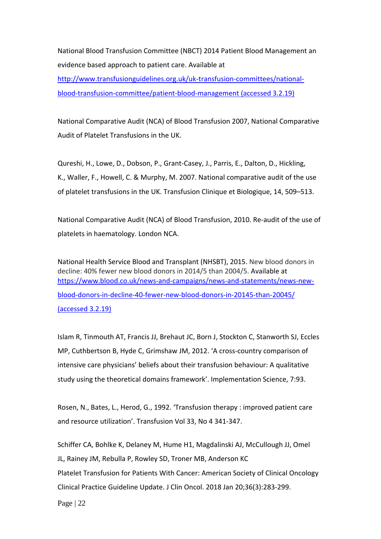National Blood Transfusion Committee (NBCT) 2014 Patient Blood Management an evidence based approach to patient care. Available at [http://www.transfusionguidelines.org.uk/uk-transfusion-committees/national](http://www.transfusionguidelines.org.uk/uk-transfusion-committees/national-blood-transfusion-committee/patient-blood-management)[blood-transfusion-committee/patient-blood-management](http://www.transfusionguidelines.org.uk/uk-transfusion-committees/national-blood-transfusion-committee/patient-blood-management) (accessed 3.2.19)

National Comparative Audit (NCA) of Blood Transfusion 2007, National Comparative Audit of Platelet Transfusions in the UK.

Qureshi, H., Lowe, D., Dobson, P., Grant-Casey, J., Parris, E., Dalton, D., Hickling, K., Waller, F., Howell, C. & Murphy, M. 2007. National comparative audit of the use of platelet transfusions in the UK. Transfusion Clinique et Biologique, 14, 509–513.

National Comparative Audit (NCA) of Blood Transfusion, 2010. Re-audit of the use of platelets in haematology. London NCA.

National Health Service Blood and Transplant (NHSBT), 2015. New blood donors in decline: 40% fewer new blood donors in 2014/5 than 2004/5. Available at [https://www.blood.co.uk/news-and-campaigns/news-and-statements/news-new](https://www.blood.co.uk/news-and-campaigns/news-and-statements/news-new-blood-donors-in-decline-40-fewer-new-blood-donors-in-20145-than-20045/)[blood-donors-in-decline-40-fewer-new-blood-donors-in-20145-than-20045/](https://www.blood.co.uk/news-and-campaigns/news-and-statements/news-new-blood-donors-in-decline-40-fewer-new-blood-donors-in-20145-than-20045/) (accessed 3.2.19)

Islam R, Tinmouth AT, Francis JJ, Brehaut JC, Born J, Stockton C, Stanworth SJ, Eccles MP, Cuthbertson B, Hyde C, Grimshaw JM, 2012. 'A cross-country comparison of intensive care physicians' beliefs about their transfusion behaviour: A qualitative study using the theoretical domains framework'. Implementation Science, 7:93.

Rosen, N., Bates, L., Herod, G., 1992. 'Transfusion therapy : improved patient care and resource utilization'. Transfusion Vol 33, No 4 341-347.

[Schiffer CA,](https://www.ncbi.nlm.nih.gov/pubmed/?term=Schiffer%20CA%5BAuthor%5D&cauthor=true&cauthor_uid=29182495) [Bohlke K,](https://www.ncbi.nlm.nih.gov/pubmed/?term=Bohlke%20K%5BAuthor%5D&cauthor=true&cauthor_uid=29182495) [Delaney M,](https://www.ncbi.nlm.nih.gov/pubmed/?term=Delaney%20M%5BAuthor%5D&cauthor=true&cauthor_uid=29182495) [Hume H1](https://www.ncbi.nlm.nih.gov/pubmed/?term=Hume%20H%5BAuthor%5D&cauthor=true&cauthor_uid=29182495), [Magdalinski AJ,](https://www.ncbi.nlm.nih.gov/pubmed/?term=Magdalinski%20AJ%5BAuthor%5D&cauthor=true&cauthor_uid=29182495) [McCullough JJ,](https://www.ncbi.nlm.nih.gov/pubmed/?term=McCullough%20JJ%5BAuthor%5D&cauthor=true&cauthor_uid=29182495) [Omel](https://www.ncbi.nlm.nih.gov/pubmed/?term=Omel%20JL%5BAuthor%5D&cauthor=true&cauthor_uid=29182495)  [JL,](https://www.ncbi.nlm.nih.gov/pubmed/?term=Omel%20JL%5BAuthor%5D&cauthor=true&cauthor_uid=29182495) [Rainey JM,](https://www.ncbi.nlm.nih.gov/pubmed/?term=Rainey%20JM%5BAuthor%5D&cauthor=true&cauthor_uid=29182495) [Rebulla P,](https://www.ncbi.nlm.nih.gov/pubmed/?term=Rebulla%20P%5BAuthor%5D&cauthor=true&cauthor_uid=29182495) [Rowley SD,](https://www.ncbi.nlm.nih.gov/pubmed/?term=Rowley%20SD%5BAuthor%5D&cauthor=true&cauthor_uid=29182495) [Troner MB,](https://www.ncbi.nlm.nih.gov/pubmed/?term=Troner%20MB%5BAuthor%5D&cauthor=true&cauthor_uid=29182495) [Anderson KC](https://www.ncbi.nlm.nih.gov/pubmed/?term=Anderson%20KC%5BAuthor%5D&cauthor=true&cauthor_uid=29182495) Platelet Transfusion for Patients With Cancer: American Society of Clinical Oncology Clinical Practice Guideline Update. [J Clin Oncol.](https://www.ncbi.nlm.nih.gov/pubmed/29182495) 2018 Jan 20;36(3):283-299.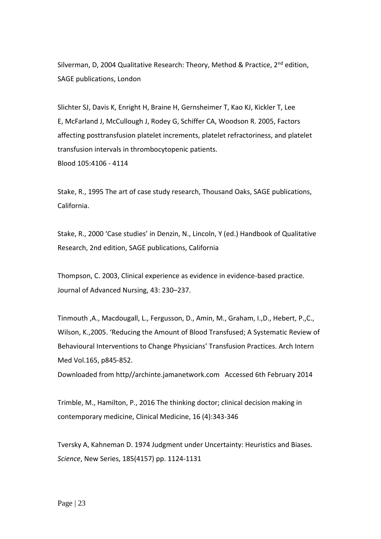Silverman, D, 2004 Qualitative Research: Theory, Method & Practice, 2<sup>nd</sup> edition, SAGE publications, London

[Slichter SJ,](https://www.ncbi.nlm.nih.gov/pubmed/?term=Slichter%20SJ%5BAuthor%5D&cauthor=true&cauthor_uid=15692069) [Davis K,](https://www.ncbi.nlm.nih.gov/pubmed/?term=Davis%20K%5BAuthor%5D&cauthor=true&cauthor_uid=15692069) [Enright H,](https://www.ncbi.nlm.nih.gov/pubmed/?term=Enright%20H%5BAuthor%5D&cauthor=true&cauthor_uid=15692069) [Braine H,](https://www.ncbi.nlm.nih.gov/pubmed/?term=Braine%20H%5BAuthor%5D&cauthor=true&cauthor_uid=15692069) [Gernsheimer T,](https://www.ncbi.nlm.nih.gov/pubmed/?term=Gernsheimer%20T%5BAuthor%5D&cauthor=true&cauthor_uid=15692069) [Kao KJ,](https://www.ncbi.nlm.nih.gov/pubmed/?term=Kao%20KJ%5BAuthor%5D&cauthor=true&cauthor_uid=15692069) [Kickler T,](https://www.ncbi.nlm.nih.gov/pubmed/?term=Kickler%20T%5BAuthor%5D&cauthor=true&cauthor_uid=15692069) [Lee](https://www.ncbi.nlm.nih.gov/pubmed/?term=Lee%20E%5BAuthor%5D&cauthor=true&cauthor_uid=15692069)  [E,](https://www.ncbi.nlm.nih.gov/pubmed/?term=Lee%20E%5BAuthor%5D&cauthor=true&cauthor_uid=15692069) [McFarland J,](https://www.ncbi.nlm.nih.gov/pubmed/?term=McFarland%20J%5BAuthor%5D&cauthor=true&cauthor_uid=15692069) [McCullough J,](https://www.ncbi.nlm.nih.gov/pubmed/?term=McCullough%20J%5BAuthor%5D&cauthor=true&cauthor_uid=15692069) [Rodey G,](https://www.ncbi.nlm.nih.gov/pubmed/?term=Rodey%20G%5BAuthor%5D&cauthor=true&cauthor_uid=15692069) [Schiffer CA,](https://www.ncbi.nlm.nih.gov/pubmed/?term=Schiffer%20CA%5BAuthor%5D&cauthor=true&cauthor_uid=15692069) [Woodson R.](https://www.ncbi.nlm.nih.gov/pubmed/?term=Woodson%20R%5BAuthor%5D&cauthor=true&cauthor_uid=15692069) 2005, Factors affecting posttransfusion platelet increments, platelet refractoriness, and platelet transfusion intervals in thrombocytopenic patients. Blood 105:4106 - 4114

Stake, R., 1995 The art of case study research, Thousand Oaks, SAGE publications, California.

Stake, R., 2000 'Case studies' in Denzin, N., Lincoln, Y (ed.) Handbook of Qualitative Research, 2nd edition, SAGE publications, California

Thompson, C. 2003, Clinical experience as evidence in evidence-based practice. Journal of Advanced Nursing, 43: 230–237.

Tinmouth ,A., Macdougall, L., Fergusson, D., Amin, M., Graham, I.,D., Hebert, P.,C., Wilson, K.,2005. 'Reducing the Amount of Blood Transfused; A Systematic Review of Behavioural Interventions to Change Physicians' Transfusion Practices. Arch Intern Med Vol.165, p845-852.

Downloaded from http//archinte.jamanetwork.com Accessed 6th February 2014

Trimble, M., Hamilton, P., 2016 The thinking doctor; clinical decision making in contemporary medicine, Clinical Medicine, 16 (4):343-346

Tversky A, Kahneman D. 1974 Judgment under Uncertainty: Heuristics and Biases. *Science*, New Series, 185(4157) pp. 1124-1131